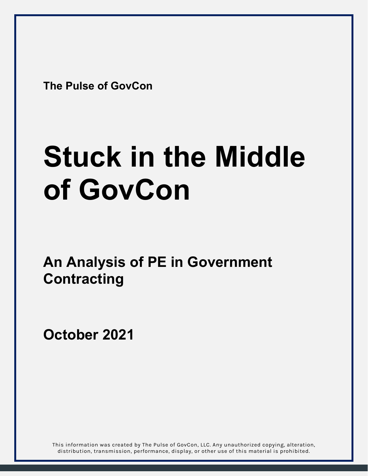**The Pulse of GovCon** 

# **Stuck in the Middle of GovCon**

**An Analysis of PE in Government Contracting** 

**October 2021**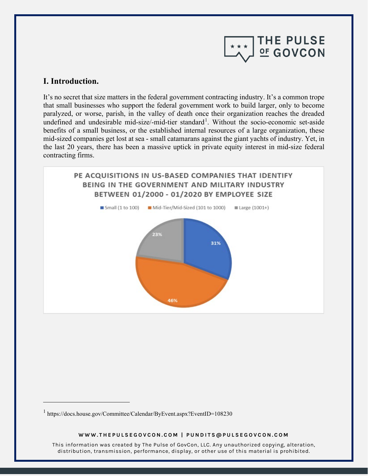

# **I. Introduction.**

It's no secret that size matters in the federal government contracting industry. It's a common trope that small businesses who support the federal government work to build larger, only to become paralyzed, or worse, parish, in the valley of death once their organization reaches the dreaded undefined and undesirable mid-size/-mid-tier standard<sup>[1](#page-1-0)</sup>. Without the socio-economic set-aside benefits of a small business, or the established internal resources of a large organization, these mid-sized companies get lost at sea - small catamarans against the giant yachts of industry. Yet, in the last 20 years, there has been a massive uptick in private equity interest in mid-size federal contracting firms.



#### **WWW.THEPULSEGOVCON.COM | PUNDITS@PULSEGOVCON.COM**

<span id="page-1-0"></span><sup>&</sup>lt;sup>1</sup> https://docs.house.gov/Committee/Calendar/ByEvent.aspx?EventID=108230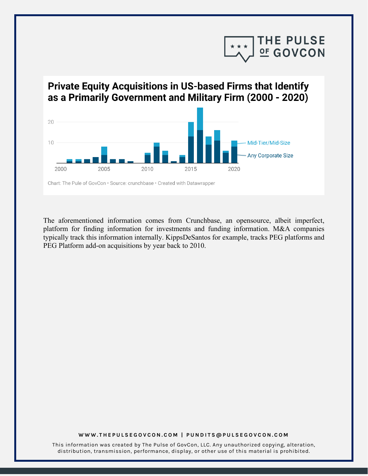

# **Private Equity Acquisitions in US-based Firms that Identify** as a Primarily Government and Military Firm (2000 - 2020)



The aforementioned information comes from Crunchbase, an opensource, albeit imperfect, platform for finding information for investments and funding information. M&A companies typically track this information internally. KippsDeSantos for example, tracks PEG platforms and PEG Platform add-on acquisitions by year back to 2010.

#### **WWW.THEPULSEGOVCON.COM | PUNDITS@PULSEGOVCON.COM**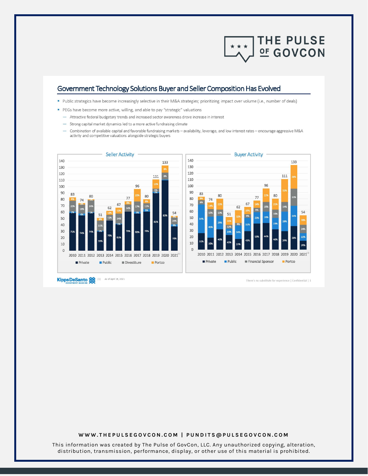

## Government Technology Solutions Buyer and Seller Composition Has Evolved

- · Public strategics have become increasingly selective in their M&A strategies; prioritizing impact over volume (i.e., number of deals)
- PEGs have become more active, willing, and able to pay "strategic" valuations
- Attractive federal budgetary trends and increased sector awareness drove increase in interest
- Strong capital market dynamics led to a more active fundraising climate
- Combination of available capital and favorable fundraising markets availability, leverage, and low interest rates encourage aggressive M&A activity and competitive valuations alongside strategic buyers



Kipps DeSanto

There's no substitute for experience | Confidential | 1

#### **WWW.THEPULSEGOVCON.COM | PUNDITS@PULSEGOVCON.COM**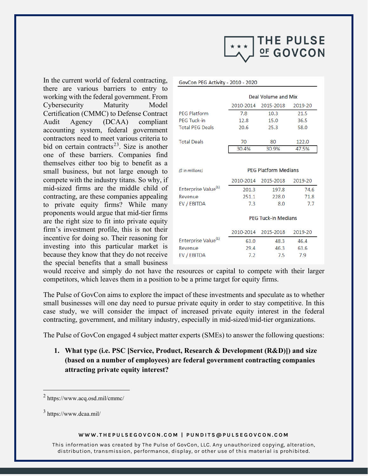

In the current world of federal contracting, there are various barriers to entry to working with the federal government. From Cybersecurity Maturity Model Certification (CMMC) to Defense Contract Audit Agency (DCAA) compliant accounting system, federal government contractors need to meet various criteria to bid on certain contracts<sup>[2](#page-4-0)[3](#page-4-1)</sup>. Size is another one of these barriers. Companies find themselves either too big to benefit as a small business, but not large enough to compete with the industry titans. So why, if mid-sized firms are the middle child of contracting, are these companies appealing to private equity firms? While many proponents would argue that mid-tier firms are the right size to fit into private equity firm's investment profile, this is not their incentive for doing so. Their reasoning for investing into this particular market is because they know that they do not receive the special benefits that a small business

|                                 | Deal Volume and Mix         |                            |         |
|---------------------------------|-----------------------------|----------------------------|---------|
|                                 | 2010-2014                   | 2015-2018                  | 2019-20 |
| <b>PFG Platform</b>             | 7.8                         | 10.3                       | 21.5    |
| <b>PFG Tuck-in</b>              | 12.8                        | 15.0                       | 36.5    |
| <b>Total PEG Deals</b>          | 20.6                        | 25.3                       | 58.0    |
| <b>Total Deals</b>              | 70                          | 80                         | 122.0   |
|                                 | 30.4%                       | 30.9%                      | 47.5%   |
| (\$ in millions)                | <b>PEG Platform Medians</b> |                            |         |
|                                 | 2010-2014                   | 2015-2018                  | 2019-20 |
| Enterprise Value <sup>(1)</sup> | 201.3                       | 197.8                      | 74.6    |
|                                 |                             |                            |         |
| Revenue                         | 251.1                       | 228.0                      | 71.8    |
| EV / EBITDA                     | 7.3                         | 8.0                        | 7.7     |
|                                 |                             | <b>PEG Tuck-in Medians</b> |         |
|                                 | 2010-2014                   | 2015-2018                  | 2019-20 |
| Enterprise Value <sup>(1)</sup> | 63.0                        | 48.3                       | 46.4    |
| Revenue                         | 29.4                        | 46.3                       | 63.6    |
| EV / EBITDA                     | 7.2                         | 7.5                        | 7.9     |

GovCon PEG Activity - 2010 - 2020

would receive and simply do not have the resources or capital to compete with their larger competitors, which leaves them in a position to be a prime target for equity firms.

The Pulse of GovCon aims to explore the impact of these investments and speculate as to whether small businesses will one day need to pursue private equity in order to stay competitive. In this case study, we will consider the impact of increased private equity interest in the federal contracting, government, and military industry, especially in mid-sized/mid-tier organizations.

The Pulse of GovCon engaged 4 subject matter experts (SMEs) to answer the following questions:

**1. What type (i.e. PSC [Service, Product, Research & Development (R&D)]) and size (based on a number of employees) are federal government contracting companies attracting private equity interest?**

#### **WWW.THEPULSEGOVCON.COM | PUNDITS@PULSEGOVCON.COM**

<span id="page-4-0"></span><sup>2</sup> https://www.acq.osd.mil/cmmc/

<span id="page-4-1"></span><sup>3</sup> https://www.dcaa.mil/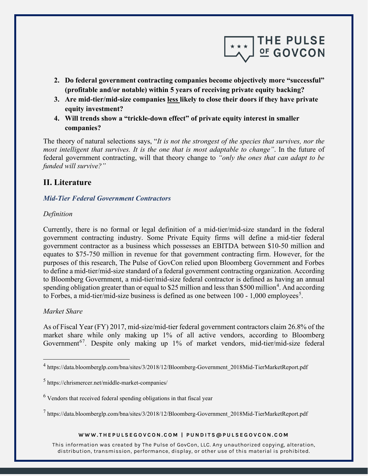

- **2. Do federal government contracting companies become objectively more "successful" (profitable and/or notable) within 5 years of receiving private equity backing?**
- **3. Are mid-tier/mid-size companies less likely to close their doors if they have private equity investment?**
- **4. Will trends show a "trickle-down effect" of private equity interest in smaller companies?**

The theory of natural selections says, "*It is not the strongest of the species that survives, nor the most intelligent that survives. It is the one that is most adaptable to change"*. In the future of federal government contracting, will that theory change to *"only the ones that can adapt to be funded will survive?"*

# **II. Literature**

## *Mid-Tier Federal Government Contractors*

#### *Definition*

Currently, there is no formal or legal definition of a mid-tier/mid-size standard in the federal government contracting industry. Some Private Equity firms will define a mid-tier federal government contractor as a business which possesses an EBITDA between \$10-50 million and equates to \$75-750 million in revenue for that government contracting firm. However, for the purposes of this research, The Pulse of GovCon relied upon Bloomberg Government and Forbes to define a mid-tier/mid-size standard of a federal government contracting organization. According to Bloomberg Government, a mid-tier/mid-size federal contractor is defined as having an annual spending obligation greater than or equal to \$25 million and less than \$500 million<sup>[4](#page-5-0)</sup>. And according to Forbes, a mid-tier/mid-size business is defined as one between  $100$  - 1,000 employees<sup>[5](#page-5-1)</sup>.

#### *Market Share*

As of Fiscal Year (FY) 2017, mid-size/mid-tier federal government contractors claim 26.8% of the market share while only making up 1% of all active vendors, according to Bloomberg Government<sup>[6](#page-5-2)[7](#page-5-3)</sup>. Despite only making up 1% of market vendors, mid-tier/mid-size federal

#### **WWW.THEPULSEGOVCON.COM | PUNDITS@PULSEGOVCON.COM**

<span id="page-5-0"></span><sup>&</sup>lt;sup>4</sup> https://data.bloomberglp.com/bna/sites/3/2018/12/Bloomberg-Government\_2018Mid-TierMarketReport.pdf

<span id="page-5-1"></span><sup>5</sup> https://chrismercer.net/middle-market-companies/

<span id="page-5-2"></span> $6$  Vendors that received federal spending obligations in that fiscal year

<span id="page-5-3"></span> $^7$  https://data.bloomberglp.com/bna/sites/3/2018/12/Bloomberg-Government 2018Mid-TierMarketReport.pdf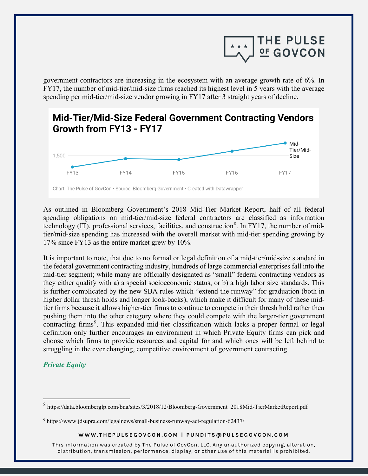

government contractors are increasing in the ecosystem with an average growth rate of 6%. In FY17, the number of mid-tier/mid-size firms reached its highest level in 5 years with the average spending per mid-tier/mid-size vendor growing in FY17 after 3 straight years of decline.



As outlined in Bloomberg Government's 2018 Mid-Tier Market Report, half of all federal spending obligations on mid-tier/mid-size federal contractors are classified as information technology (IT), professional services, facilities, and construction<sup>[8](#page-6-0)</sup>. In FY17, the number of midtier/mid-size spending has increased with the overall market with mid-tier spending growing by 17% since FY13 as the entire market grew by 10%.

It is important to note, that due to no formal or legal definition of a mid-tier/mid-size standard in the federal government contracting industry, hundreds of large commercial enterprises fall into the mid-tier segment; while many are officially designated as "small" federal contracting vendors as they either qualify with a) a special socioeconomic status, or b) a high labor size standards. This is further complicated by the new SBA rules which "extend the runway" for graduation (both in higher dollar thresh holds and longer look-backs), which make it difficult for many of these midtier firms because it allows higher-tier firms to continue to compete in their thresh hold rather then pushing them into the other category where they could compete with the larger-tier government contracting firms<sup>[9](#page-6-1)</sup>. This expanded mid-tier classification which lacks a proper formal or legal definition only further encourages an environment in which Private Equity firms can pick and choose which firms to provide resources and capital for and which ones will be left behind to struggling in the ever changing, competitive environment of government contracting.

## *Private Equity*

#### **WWW.THEPULSEGOVCON.COM | PUNDITS@PULSEGOVCON.COM**

<span id="page-6-0"></span><sup>8</sup> https://data.bloomberglp.com/bna/sites/3/2018/12/Bloomberg-Government\_2018Mid-TierMarketReport.pdf

<span id="page-6-1"></span><sup>9</sup> https://www.jdsupra.com/legalnews/small-business-runway-act-regulation-62437/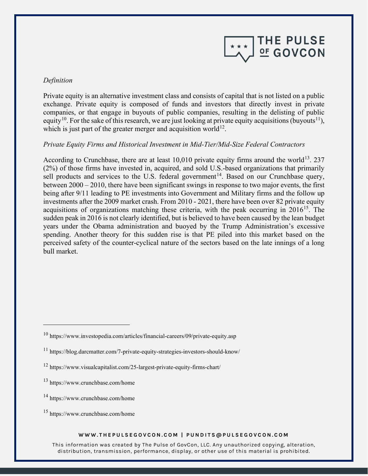

#### *Definition*

Private equity is an alternative investment class and consists of capital that is not listed on a public exchange. Private equity is composed of funds and investors that directly invest in private companies, or that engage in buyouts of public companies, resulting in the delisting of public equity<sup>10</sup>. For the sake of this research, we are just looking at private equity acquisitions (buyouts<sup>[11](#page-7-1)</sup>), which is just part of the greater merger and acquisition world<sup>12</sup>.

## *Private Equity Firms and Historical Investment in Mid-Tier/Mid-Size Federal Contractors*

According to Crunchbase, there are at least 10,010 private equity firms around the world<sup>[13](#page-7-3)</sup>. 237 (2%) of those firms have invested in, acquired, and sold U.S.-based organizations that primarily sell products and services to the U.S. federal government<sup>14</sup>. Based on our Crunchbase query, between 2000 – 2010, there have been significant swings in response to two major events, the first being after 9/11 leading to PE investments into Government and Military firms and the follow up investments after the 2009 market crash. From 2010 - 2021, there have been over 82 private equity acquisitions of organizations matching these criteria, with the peak occurring in  $2016^{15}$  $2016^{15}$  $2016^{15}$ . The sudden peak in 2016 is not clearly identified, but is believed to have been caused by the lean budget years under the Obama administration and buoyed by the Trump Administration's excessive spending. Another theory for this sudden rise is that PE piled into this market based on the perceived safety of the counter-cyclical nature of the sectors based on the late innings of a long bull market.

#### **WWW.THEPULSEGOVCON.COM | PUNDITS@PULSEGOVCON.COM**

<span id="page-7-0"></span><sup>10</sup> https://www.investopedia.com/articles/financial-careers/09/private-equity.asp

<span id="page-7-1"></span><sup>11</sup> https://blog.darcmatter.com/7-private-equity-strategies-investors-should-know/

<span id="page-7-2"></span><sup>12</sup> https://www.visualcapitalist.com/25-largest-private-equity-firms-chart/

<span id="page-7-3"></span><sup>13</sup> https://www.crunchbase.com/home

<span id="page-7-4"></span><sup>14</sup> https://www.crunchbase.com/home

<span id="page-7-5"></span><sup>15</sup> https://www.crunchbase.com/home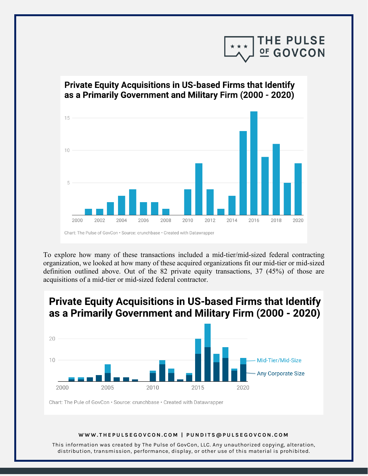

# Private Equity Acquisitions in US-based Firms that Identify as a Primarily Government and Military Firm (2000 - 2020) 15  $10 -$ 2002 2000 2004 2006 2008 2010 2012 2014 2016 2018 2020

To explore how many of these transactions included a mid-tier/mid-sized federal contracting organization, we looked at how many of these acquired organizations fit our mid-tier or mid-sized definition outlined above. Out of the 82 private equity transactions, 37 (45%) of those are acquisitions of a mid-tier or mid-sized federal contractor.

# **Private Equity Acquisitions in US-based Firms that Identify** as a Primarily Government and Military Firm (2000 - 2020)



Chart: The Pule of GovCon · Source: crunchbase · Created with Datawrapper

#### **WWW.THEPULSEGOVCON.COM | PUNDITS@PULSEGOVCON.COM**

Chart: The Pulse of GovCon · Source: crunchbase · Created with Datawrapper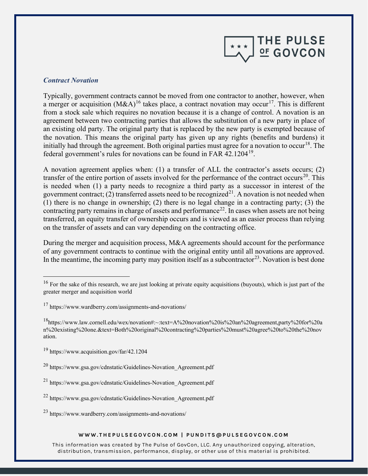

#### *Contract Novation*

Typically, government contracts cannot be moved from one contractor to another, however, when a merger or acquisition  $(M&A)^{16}$  $(M&A)^{16}$  $(M&A)^{16}$  takes place, a contract novation may occur<sup>17</sup>. This is different from a stock sale which requires no novation because it is a change of control. A novation is an agreement between two contracting parties that allows the substitution of a new party in place of an existing old party. The original party that is replaced by the new party is exempted because of the novation. This means the original party has given up any rights (benefits and burdens) it initially had through the agreement. Both original parties must agree for a novation to occur<sup>[18](#page-9-2)</sup>. The federal gover[n](https://www.acquisition.gov/far/42.1204)ment's rules for novations can be found in FAR 42.1204<sup>19</sup>.

A novation agreement applies when: (1) a transfer of ALL the contractor's assets occurs; (2) transfer of the entire portion of assets involved for the performance of the contract occurs<sup>20</sup>. This is needed when (1) a party needs to recognize a third party as a successor in interest of the government contract; (2) transferred assets need to be recognized<sup>21</sup>. A novation is not needed when (1) there is no change in ownership; (2) there is no legal change in a contracting party; (3) the contracting party remains in charge of assets and performance<sup>[22](#page-9-6)</sup>. In cases when assets are not being transferred, an equity transfer of ownership occurs and is viewed as an easier process than relying on the transfer of assets and can vary depending on the contracting office.

During the merger and acquisition process, M&A agreements should account for the performance of any government contracts to continue with the original entity until all novations are approved. In the meantime, the incoming party may position itself as a subcontractor<sup>23</sup>. Novation is best done

#### **WWW.THEPULSEGOVCON.COM | PUNDITS@PULSEGOVCON.COM**

<span id="page-9-0"></span> $16$  For the sake of this research, we are just looking at private equity acquisitions (buyouts), which is just part of the greater merger and acquisition world

<span id="page-9-1"></span><sup>17</sup> https://www.wardberry.com/assignments-and-novations/

<span id="page-9-2"></span><sup>18</sup>https://www.law.cornell.edu/wex/novation#:~:text=A%20novation%20is%20an%20agreement,party%20for%20a n%20existing%20one.&text=Both%20original%20contracting%20parties%20must%20agree%20to%20the%20nov ation.

<span id="page-9-3"></span><sup>19</sup> https://www.acquisition.gov/far/42.1204

<span id="page-9-4"></span><sup>20</sup> https://www.gsa.gov/cdnstatic/Guidelines-Novation\_Agreement.pdf

<span id="page-9-5"></span><sup>21</sup> https://www.gsa.gov/cdnstatic/Guidelines-Novation\_Agreement.pdf

<span id="page-9-6"></span><sup>22</sup> https://www.gsa.gov/cdnstatic/Guidelines-Novation\_Agreement.pdf

<span id="page-9-7"></span><sup>23</sup> https://www.wardberry.com/assignments-and-novations/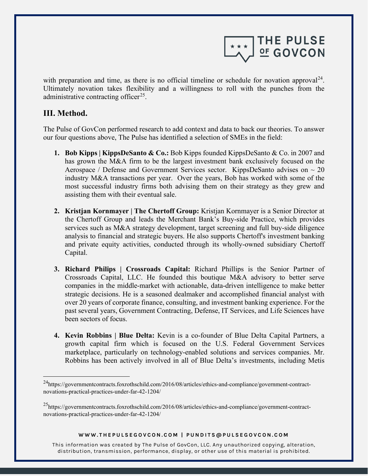

with preparation and time, as there is no official timeline or schedule for novation approval<sup>[24](#page-10-0)</sup>. Ultimately novation takes flexibility and a willingness to roll with the punches from the administrative contracting officer<sup>[25](#page-10-1)</sup>.

## **III. Method.**

The Pulse of GovCon performed research to add context and data to back our theories. To answer our four questions above, The Pulse has identified a selection of SMEs in the field:

- **1. Bob Kipps | KippsDeSanto & Co.:** Bob Kipps founded KippsDeSanto & Co. in 2007 and has grown the M&A firm to be the largest investment bank exclusively focused on the Aerospace / Defense and Government Services sector. KippsDeSanto advises on  $\sim$  20 industry M&A transactions per year. Over the years, Bob has worked with some of the most successful industry firms both advising them on their strategy as they grew and assisting them with their eventual sale.
- **2. Kristjan Kornmayer | The Chertoff Group:** Kristjan Kornmayer is a Senior Director at the Chertoff Group and leads the Merchant Bank's Buy-side Practice, which provides services such as M&A strategy development, target screening and full buy-side diligence analysis to financial and strategic buyers. He also supports Chertoff's investment banking and private equity activities, conducted through its wholly-owned subsidiary Chertoff Capital.
- **3. Richard Philips | Crossroads Capital:** Richard Phillips is the Senior Partner of Crossroads Capital, LLC. He founded this boutique M&A advisory to better serve companies in the middle-market with actionable, data-driven intelligence to make better strategic decisions. He is a seasoned dealmaker and accomplished financial analyst with over 20 years of corporate finance, consulting, and investment banking experience. For the past several years, Government Contracting, Defense, IT Services, and Life Sciences have been sectors of focus.
- **4. Kevin Robbins | Blue Delta:** Kevin is a co-founder of Blue Delta Capital Partners, a growth capital firm which is focused on the U.S. Federal Government Services marketplace, particularly on technology-enabled solutions and services companies. Mr. Robbins has been actively involved in all of Blue Delta's investments, including Metis

#### **WWW.THEPULSEGOVCON.COM | PUNDITS@PULSEGOVCON.COM**

<span id="page-10-0"></span><sup>24</sup>https://governmentcontracts.foxrothschild.com/2016/08/articles/ethics-and-compliance/government-contractnovations-practical-practices-under-far-42-1204/

<span id="page-10-1"></span><sup>&</sup>lt;sup>25</sup>https://governmentcontracts.foxrothschild.com/2016/08/articles/ethics-and-compliance/government-contractnovations-practical-practices-under-far-42-1204/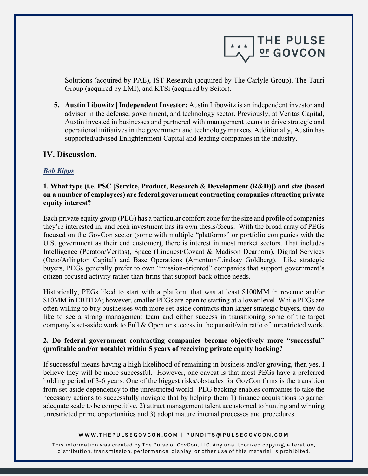

Solutions (acquired by PAE), IST Research (acquired by The Carlyle Group), The Tauri Group (acquired by LMI), and KTSi (acquired by Scitor).

**5. Austin Libowitz | Independent Investor:** Austin Libowitz is an independent investor and advisor in the defense, government, and technology sector. Previously, at Veritas Capital, Austin invested in businesses and partnered with management teams to drive strategic and operational initiatives in the government and technology markets. Additionally, Austin has supported/advised Enlightenment Capital and leading companies in the industry.

## **IV. Discussion.**

## *Bob Kipps*

## **1. What type (i.e. PSC [Service, Product, Research & Development (R&D)]) and size (based on a number of employees) are federal government contracting companies attracting private equity interest?**

Each private equity group (PEG) has a particular comfort zone for the size and profile of companies they're interested in, and each investment has its own thesis/focus. With the broad array of PEGs focused on the GovCon sector (some with multiple "platforms" or portfolio companies with the U.S. government as their end customer), there is interest in most market sectors. That includes Intelligence (Peraton/Veritas), Space (Linquest/Covant & Madison Dearborn), Digital Services (Octo/Arlington Capital) and Base Operations (Amentum/Lindsay Goldberg). Like strategic buyers, PEGs generally prefer to own "mission-oriented" companies that support government's citizen-focused activity rather than firms that support back office needs.

Historically, PEGs liked to start with a platform that was at least \$100MM in revenue and/or \$10MM in EBITDA; however, smaller PEGs are open to starting at a lower level. While PEGs are often willing to buy businesses with more set-aside contracts than larger strategic buyers, they do like to see a strong management team and either success in transitioning some of the target company's set-aside work to Full & Open or success in the pursuit/win ratio of unrestricted work.

## **2. Do federal government contracting companies become objectively more "successful" (profitable and/or notable) within 5 years of receiving private equity backing?**

If successful means having a high likelihood of remaining in business and/or growing, then yes, I believe they will be more successful. However, one caveat is that most PEGs have a preferred holding period of 3-6 years. One of the biggest risks/obstacles for GovCon firms is the transition from set-aside dependency to the unrestricted world. PEG backing enables companies to take the necessary actions to successfully navigate that by helping them 1) finance acquisitions to garner adequate scale to be competitive, 2) attract management talent accustomed to hunting and winning unrestricted prime opportunities and 3) adopt mature internal processes and procedures.

#### **WWW.THEPULSEGOVCON.COM | PUNDITS@PULSEGOVCON.COM**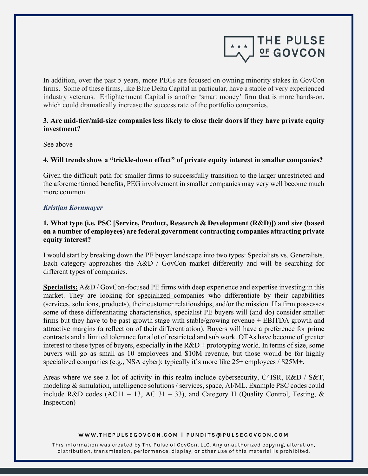

In addition, over the past 5 years, more PEGs are focused on owning minority stakes in GovCon firms. Some of these firms, like Blue Delta Capital in particular, have a stable of very experienced industry veterans. Enlightenment Capital is another 'smart money' firm that is more hands-on, which could dramatically increase the success rate of the portfolio companies.

#### **3. Are mid-tier/mid-size companies less likely to close their doors if they have private equity investment?**

See above

#### **4. Will trends show a "trickle-down effect" of private equity interest in smaller companies?**

Given the difficult path for smaller firms to successfully transition to the larger unrestricted and the aforementioned benefits, PEG involvement in smaller companies may very well become much more common.

#### *Kristjan Kornmayer*

## **1. What type (i.e. PSC [Service, Product, Research & Development (R&D)]) and size (based on a number of employees) are federal government contracting companies attracting private equity interest?**

I would start by breaking down the PE buyer landscape into two types: Specialists vs. Generalists. Each category approaches the A&D / GovCon market differently and will be searching for different types of companies.

**Specialists:** A&D / GovCon-focused PE firms with deep experience and expertise investing in this market. They are looking for specialized companies who differentiate by their capabilities (services, solutions, products), their customer relationships, and/or the mission. If a firm possesses some of these differentiating characteristics, specialist PE buyers will (and do) consider smaller firms but they have to be past growth stage with stable/growing revenue + EBITDA growth and attractive margins (a reflection of their differentiation). Buyers will have a preference for prime contracts and a limited tolerance for a lot of restricted and sub work. OTAs have become of greater interest to these types of buyers, especially in the  $R&D$  + prototyping world. In terms of size, some buyers will go as small as 10 employees and \$10M revenue, but those would be for highly specialized companies (e.g., NSA cyber); typically it's more like  $25+$  employees / \$25M+.

Areas where we see a lot of activity in this realm include cybersecurity, C4ISR, R&D / S&T, modeling & simulation, intelligence solutions / services, space, AI/ML. Example PSC codes could include R&D codes (AC11 – 13, AC 31 – 33), and Category H (Quality Control, Testing,  $\&$ Inspection)

#### **WWW.THEPULSEGOVCON.COM | PUNDITS@PULSEGOVCON.COM**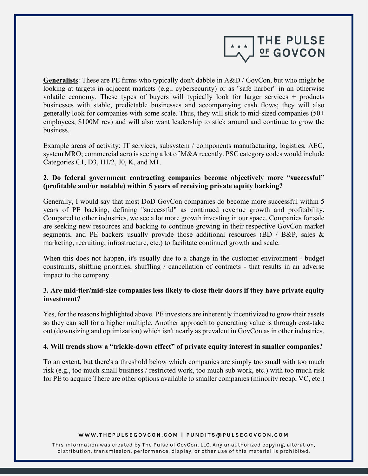

**Generalists**: These are PE firms who typically don't dabble in A&D / GovCon, but who might be looking at targets in adjacent markets (e.g., cybersecurity) or as "safe harbor" in an otherwise volatile economy. These types of buyers will typically look for larger services + products businesses with stable, predictable businesses and accompanying cash flows; they will also generally look for companies with some scale. Thus, they will stick to mid-sized companies (50+ employees, \$100M rev) and will also want leadership to stick around and continue to grow the business.

Example areas of activity: IT services, subsystem / components manufacturing, logistics, AEC, system MRO; commercial aero is seeing a lot of M&A recently. PSC category codes would include Categories C1, D3, H1/2, J0, K, and M1.

## **2. Do federal government contracting companies become objectively more "successful" (profitable and/or notable) within 5 years of receiving private equity backing?**

Generally, I would say that most DoD GovCon companies do become more successful within 5 years of PE backing, defining "successful" as continued revenue growth and profitability. Compared to other industries, we see a lot more growth investing in our space. Companies for sale are seeking new resources and backing to continue growing in their respective GovCon market segments, and PE backers usually provide those additional resources (BD / B&P, sales & marketing, recruiting, infrastructure, etc.) to facilitate continued growth and scale.

When this does not happen, it's usually due to a change in the customer environment - budget constraints, shifting priorities, shuffling / cancellation of contracts - that results in an adverse impact to the company.

#### **3. Are mid-tier/mid-size companies less likely to close their doors if they have private equity investment?**

Yes, for the reasons highlighted above. PE investors are inherently incentivized to grow their assets so they can sell for a higher multiple. Another approach to generating value is through cost-take out (downsizing and optimization) which isn't nearly as prevalent in GovCon as in other industries.

#### **4. Will trends show a "trickle-down effect" of private equity interest in smaller companies?**

To an extent, but there's a threshold below which companies are simply too small with too much risk (e.g., too much small business / restricted work, too much sub work, etc.) with too much risk for PE to acquire There are other options available to smaller companies (minority recap, VC, etc.)

#### **WWW.THEPULSEGOVCON.COM | PUNDITS@PULSEGOVCON.COM**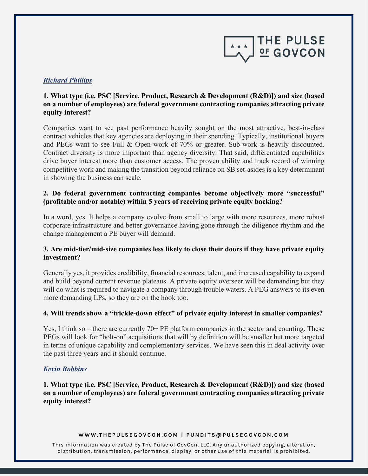

## *Richard Phillips*

## **1. What type (i.e. PSC [Service, Product, Research & Development (R&D)]) and size (based on a number of employees) are federal government contracting companies attracting private equity interest?**

Companies want to see past performance heavily sought on the most attractive, best-in-class contract vehicles that key agencies are deploying in their spending. Typically, institutional buyers and PEGs want to see Full & Open work of 70% or greater. Sub-work is heavily discounted. Contract diversity is more important than agency diversity. That said, differentiated capabilities drive buyer interest more than customer access. The proven ability and track record of winning competitive work and making the transition beyond reliance on SB set-asides is a key determinant in showing the business can scale.

## **2. Do federal government contracting companies become objectively more "successful" (profitable and/or notable) within 5 years of receiving private equity backing?**

In a word, yes. It helps a company evolve from small to large with more resources, more robust corporate infrastructure and better governance having gone through the diligence rhythm and the change management a PE buyer will demand.

## **3. Are mid-tier/mid-size companies less likely to close their doors if they have private equity investment?**

Generally yes, it provides credibility, financial resources, talent, and increased capability to expand and build beyond current revenue plateaus. A private equity overseer will be demanding but they will do what is required to navigate a company through trouble waters. A PEG answers to its even more demanding LPs, so they are on the hook too.

#### **4. Will trends show a "trickle-down effect" of private equity interest in smaller companies?**

Yes, I think so – there are currently 70+ PE platform companies in the sector and counting. These PEGs will look for "bolt-on" acquisitions that will by definition will be smaller but more targeted in terms of unique capability and complementary services. We have seen this in deal activity over the past three years and it should continue.

#### *Kevin Robbins*

**1. What type (i.e. PSC [Service, Product, Research & Development (R&D)]) and size (based on a number of employees) are federal government contracting companies attracting private equity interest?**

#### **WWW.THEPULSEGOVCON.COM | PUNDITS@PULSEGOVCON.COM**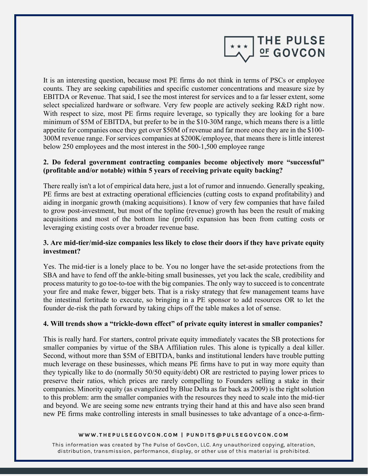

It is an interesting question, because most PE firms do not think in terms of PSCs or employee counts. They are seeking capabilities and specific customer concentrations and measure size by EBITDA or Revenue. That said, I see the most interest for services and to a far lesser extent, some select specialized hardware or software. Very few people are actively seeking R&D right now. With respect to size, most PE firms require leverage, so typically they are looking for a bare minimum of \$5M of EBITDA, but prefer to be in the \$10-30M range, which means there is a little appetite for companies once they get over \$50M of revenue and far more once they are in the \$100- 300M revenue range. For services companies at \$200K/employee, that means there is little interest below 250 employees and the most interest in the 500-1,500 employee range

## **2. Do federal government contracting companies become objectively more "successful" (profitable and/or notable) within 5 years of receiving private equity backing?**

There really isn't a lot of empirical data here, just a lot of rumor and innuendo. Generally speaking, PE firms are best at extracting operational efficiencies (cutting costs to expand profitability) and aiding in inorganic growth (making acquisitions). I know of very few companies that have failed to grow post-investment, but most of the topline (revenue) growth has been the result of making acquisitions and most of the bottom line (profit) expansion has been from cutting costs or leveraging existing costs over a broader revenue base.

## **3. Are mid-tier/mid-size companies less likely to close their doors if they have private equity investment?**

Yes. The mid-tier is a lonely place to be. You no longer have the set-aside protections from the SBA and have to fend off the ankle-biting small businesses, yet you lack the scale, credibility and process maturity to go toe-to-toe with the big companies. The only way to succeed is to concentrate your fire and make fewer, bigger bets. That is a risky strategy that few management teams have the intestinal fortitude to execute, so bringing in a PE sponsor to add resources OR to let the founder de-risk the path forward by taking chips off the table makes a lot of sense.

## **4. Will trends show a "trickle-down effect" of private equity interest in smaller companies?**

This is really hard. For starters, control private equity immediately vacates the SB protections for smaller companies by virtue of the SBA Affiliation rules. This alone is typically a deal killer. Second, without more than \$5M of EBITDA, banks and institutional lenders have trouble putting much leverage on these businesses, which means PE firms have to put in way more equity than they typically like to do (normally 50/50 equity/debt) OR are restricted to paying lower prices to preserve their ratios, which prices are rarely compelling to Founders selling a stake in their companies. Minority equity (as evangelized by Blue Delta as far back as 2009) is the right solution to this problem: arm the smaller companies with the resources they need to scale into the mid-tier and beyond. We are seeing some new entrants trying their hand at this and have also seen brand new PE firms make controlling interests in small businesses to take advantage of a once-a-firm-

#### **WWW.THEPULSEGOVCON.COM | PUNDITS@PULSEGOVCON.COM**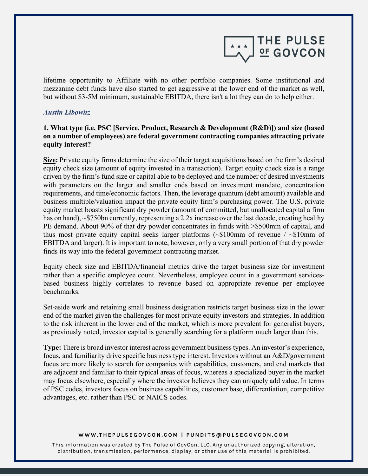

lifetime opportunity to Affiliate with no other portfolio companies. Some institutional and mezzanine debt funds have also started to get aggressive at the lower end of the market as well, but without \$3-5M minimum, sustainable EBITDA, there isn't a lot they can do to help either.

#### *Austin Libowitz*

## **1. What type (i.e. PSC [Service, Product, Research & Development (R&D)]) and size (based on a number of employees) are federal government contracting companies attracting private equity interest?**

**Size:** Private equity firms determine the size of their target acquisitions based on the firm's desired equity check size (amount of equity invested in a transaction). Target equity check size is a range driven by the firm's fund size or capital able to be deployed and the number of desired investments with parameters on the larger and smaller ends based on investment mandate, concentration requirements, and time/economic factors. Then, the leverage quantum (debt amount) available and business multiple/valuation impact the private equity firm's purchasing power. The U.S. private equity market boasts significant dry powder (amount of committed, but unallocated capital a firm has on hand), ~\$750bn currently, representing a 2.2x increase over the last decade, creating healthy PE demand. About 90% of that dry powder concentrates in funds with  $\geq$ \$500mm of capital, and thus most private equity capital seeks larger platforms (~\$100mm of revenue / ~\$10mm of EBITDA and larger). It is important to note, however, only a very small portion of that dry powder finds its way into the federal government contracting market.

Equity check size and EBITDA/financial metrics drive the target business size for investment rather than a specific employee count. Nevertheless, employee count in a government servicesbased business highly correlates to revenue based on appropriate revenue per employee benchmarks.

Set-aside work and retaining small business designation restricts target business size in the lower end of the market given the challenges for most private equity investors and strategies. In addition to the risk inherent in the lower end of the market, which is more prevalent for generalist buyers, as previously noted, investor capital is generally searching for a platform much larger than this.

**Type:** There is broad investor interest across government business types. An investor's experience, focus, and familiarity drive specific business type interest. Investors without an A&D/government focus are more likely to search for companies with capabilities, customers, and end markets that are adjacent and familiar to their typical areas of focus, whereas a specialized buyer in the market may focus elsewhere, especially where the investor believes they can uniquely add value. In terms of PSC codes, investors focus on business capabilities, customer base, differentiation, competitive advantages, etc. rather than PSC or NAICS codes.

#### **WWW.THEPULSEGOVCON.COM | PUNDITS@PULSEGOVCON.COM**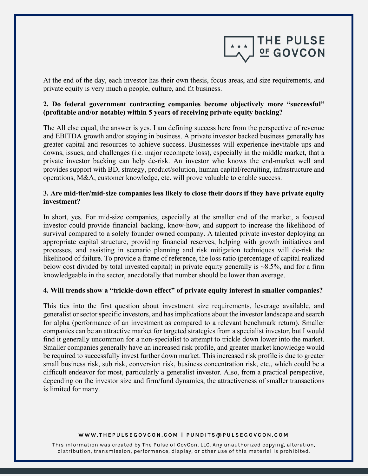

At the end of the day, each investor has their own thesis, focus areas, and size requirements, and private equity is very much a people, culture, and fit business.

## **2. Do federal government contracting companies become objectively more "successful" (profitable and/or notable) within 5 years of receiving private equity backing?**

The All else equal, the answer is yes. I am defining success here from the perspective of revenue and EBITDA growth and/or staying in business. A private investor backed business generally has greater capital and resources to achieve success. Businesses will experience inevitable ups and downs, issues, and challenges (i.e. major recompete loss), especially in the middle market, that a private investor backing can help de-risk. An investor who knows the end-market well and provides support with BD, strategy, product/solution, human capital/recruiting, infrastructure and operations, M&A, customer knowledge, etc. will prove valuable to enable success.

## **3. Are mid-tier/mid-size companies less likely to close their doors if they have private equity investment?**

In short, yes. For mid-size companies, especially at the smaller end of the market, a focused investor could provide financial backing, know-how, and support to increase the likelihood of survival compared to a solely founder owned company. A talented private investor deploying an appropriate capital structure, providing financial reserves, helping with growth initiatives and processes, and assisting in scenario planning and risk mitigation techniques will de-risk the likelihood of failure. To provide a frame of reference, the loss ratio (percentage of capital realized below cost divided by total invested capital) in private equity generally is  $\sim 8.5\%$ , and for a firm knowledgeable in the sector, anecdotally that number should be lower than average.

#### **4. Will trends show a "trickle-down effect" of private equity interest in smaller companies?**

This ties into the first question about investment size requirements, leverage available, and generalist or sector specific investors, and has implications about the investor landscape and search for alpha (performance of an investment as compared to a relevant benchmark return). Smaller companies can be an attractive market for targeted strategies from a specialist investor, but I would find it generally uncommon for a non-specialist to attempt to trickle down lower into the market. Smaller companies generally have an increased risk profile, and greater market knowledge would be required to successfully invest further down market. This increased risk profile is due to greater small business risk, sub risk, conversion risk, business concentration risk, etc., which could be a difficult endeavor for most, particularly a generalist investor. Also, from a practical perspective, depending on the investor size and firm/fund dynamics, the attractiveness of smaller transactions is limited for many.

#### **WWW.THEPULSEGOVCON.COM | PUNDITS@PULSEGOVCON.COM**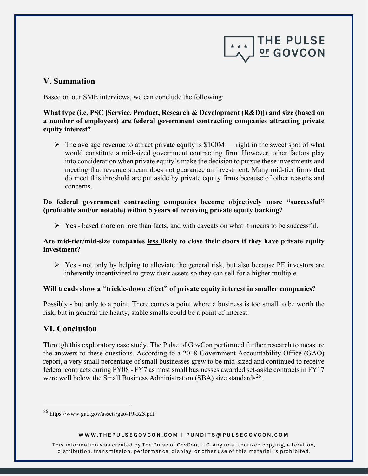

## **V. Summation**

Based on our SME interviews, we can conclude the following:

## **What type (i.e. PSC [Service, Product, Research & Development (R&D)]) and size (based on a number of employees) are federal government contracting companies attracting private equity interest?**

 $\triangleright$  The average revenue to attract private equity is \$100M — right in the sweet spot of what would constitute a mid-sized government contracting firm. However, other factors play into consideration when private equity's make the decision to pursue these investments and meeting that revenue stream does not guarantee an investment. Many mid-tier firms that do meet this threshold are put aside by private equity firms because of other reasons and concerns.

## **Do federal government contracting companies become objectively more "successful" (profitable and/or notable) within 5 years of receiving private equity backing?**

 $\triangleright$  Yes - based more on lore than facts, and with caveats on what it means to be successful.

## **Are mid-tier/mid-size companies less likely to close their doors if they have private equity investment?**

 $\triangleright$  Yes - not only by helping to alleviate the general risk, but also because PE investors are inherently incentivized to grow their assets so they can sell for a higher multiple.

## **Will trends show a "trickle-down effect" of private equity interest in smaller companies?**

Possibly - but only to a point. There comes a point where a business is too small to be worth the risk, but in general the hearty, stable smalls could be a point of interest.

# **VI. Conclusion**

Through this exploratory case study, The Pulse of GovCon performed further research to measure the answers to these questions. According to a 2018 Government Accountability Office (GAO) report, a very small percentage of small businesses grew to be mid-sized and continued to receive federal contracts during FY08 - FY7 as most small businesses awarded set-aside contracts in FY17 were well below the Small Business Administration (SBA) size standards<sup>[26](#page-18-0)</sup>.

#### **WWW.THEPULSEGOVCON.COM | PUNDITS@PULSEGOVCON.COM**

<span id="page-18-0"></span><sup>26</sup> https://www.gao.gov/assets/gao-19-523.pdf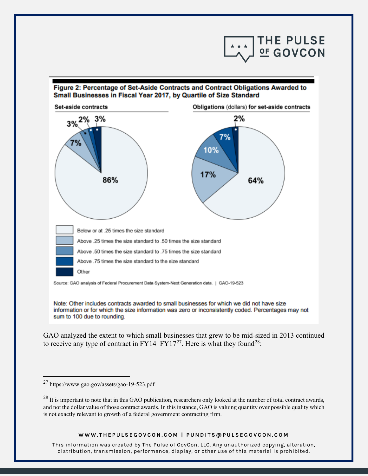

#### Figure 2: Percentage of Set-Aside Contracts and Contract Obligations Awarded to Small Businesses in Fiscal Year 2017, by Quartile of Size Standard



Source: GAO analysis of Federal Procurement Data System-Next Generation data. | GAO-19-523

Note: Other includes contracts awarded to small businesses for which we did not have size information or for which the size information was zero or inconsistently coded. Percentages may not sum to 100 due to rounding.

GAO analyzed the extent to which small businesses that grew to be mid-sized in 2013 continued to receive any type of contract in  $FY14-FY17^{27}$  $FY14-FY17^{27}$  $FY14-FY17^{27}$ . Here is what they found<sup>[28](#page-19-1)</sup>:

#### **WWW.THEPULSEGOVCON.COM | PUNDITS@PULSEGOVCON.COM**

<span id="page-19-0"></span><sup>27</sup> https://www.gao.gov/assets/gao-19-523.pdf

<span id="page-19-1"></span> $^{28}$  It is important to note that in this GAO publication, researchers only looked at the number of total contract awards, and not the dollar value of those contract awards. In this instance, GAO is valuing quantity over possible quality which is not exactly relevant to growth of a federal government contracting firm.